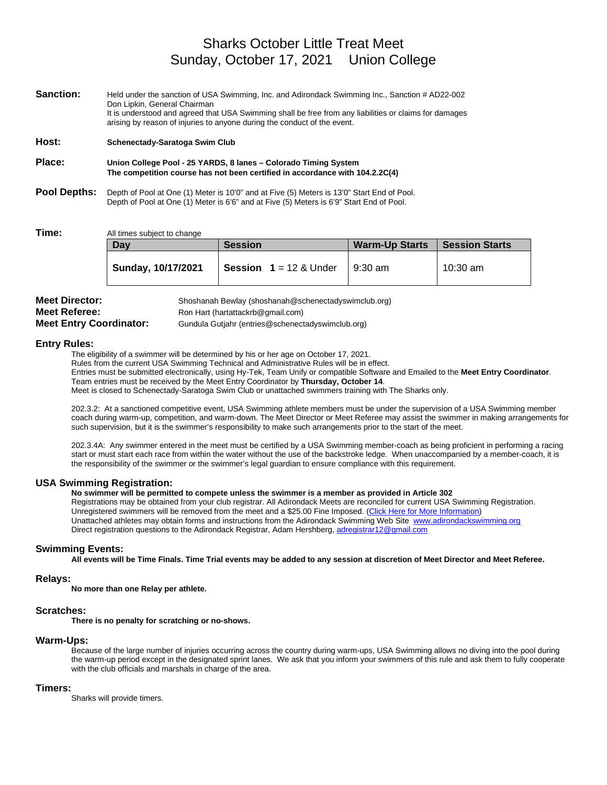**Sanction:** Held under the sanction of USA Swimming, Inc. and Adirondack Swimming Inc., Sanction # AD22-002 Don Lipkin, General Chairman It is understood and agreed that USA Swimming shall be free from any liabilities or claims for damages arising by reason of injuries to anyone during the conduct of the event.

**Host: Schenectady-Saratoga Swim Club**

**Place: Union College Pool - 25 YARDS, 8 lanes – Colorado Timing System The competition course has not been certified in accordance with 104.2.2C(4)**

**Pool Depths:** Depth of Pool at One (1) Meter is 10'0" and at Five (5) Meters is 13'0" Start End of Pool. Depth of Pool at One (1) Meter is 6'6" and at Five (5) Meters is 6'9" Start End of Pool.

**Time:** All times subject to change

| Dav                | <b>Session</b>                  | <b>Warm-Up Starts</b> | Session Starts |
|--------------------|---------------------------------|-----------------------|----------------|
| Sunday, 10/17/2021 | <b>Session</b> $1 = 12$ & Under | $9:30 \text{ am}$     | 10:30 am       |

| <b>Meet Director:</b>          | Shoshanah Bewlay (shoshanah@schenectadyswimclub.org) |
|--------------------------------|------------------------------------------------------|
| <b>Meet Referee:</b>           | Ron Hart (hartattackrb@gmail.com)                    |
| <b>Meet Entry Coordinator:</b> | Gundula Gutiahr (entries@schenectadyswimclub.org)    |

#### **Entry Rules:**

The eligibility of a swimmer will be determined by his or her age on October 17, 2021. Rules from the current USA Swimming Technical and Administrative Rules will be in effect. Entries must be submitted electronically, using Hy-Tek, Team Unify or compatible Software and Emailed to the **Meet Entry Coordinator**. Team entries must be received by the Meet Entry Coordinator by **Thursday, October 14**. Meet is closed to Schenectady-Saratoga Swim Club or unattached swimmers training with The Sharks only.

202.3.2: At a sanctioned competitive event, USA Swimming athlete members must be under the supervision of a USA Swimming member coach during warm-up, competition, and warm-down. The Meet Director or Meet Referee may assist the swimmer in making arrangements for such supervision, but it is the swimmer's responsibility to make such arrangements prior to the start of the meet.

202.3.4A: Any swimmer entered in the meet must be certified by a USA Swimming member-coach as being proficient in performing a racing start or must start each race from within the water without the use of the backstroke ledge. When unaccompanied by a member-coach, it is the responsibility of the swimmer or the swimmer's legal guardian to ensure compliance with this requirement.

#### **USA Swimming Registration:**

**No swimmer will be permitted to compete unless the swimmer is a member as provided in Article 302**

Registrations may be obtained from your club registrar. All Adirondack Meets are reconciled for current USA Swimming Registration. Unregistered swimmers will be removed from the meet and a \$25.00 Fine Imposed. (Click Here for More Information) Unattached athletes may obtain forms and instructions from the Adirondack Swimming Web Site [www.adirondackswimming.org](http://www.adirondackswimming.org/) Direct registration questions to the Adirondack Registrar, Adam Hershberg[, adregistrar12@gmail.com](mailto:adregistrar12@gmail.com)

#### **Swimming Events:**

**All events will be Time Finals. Time Trial events may be added to any session at discretion of Meet Director and Meet Referee.**

#### **Relays:**

**No more than one Relay per athlete.**

#### **Scratches:**

**There is no penalty for scratching or no-shows.**

#### **Warm-Ups:**

Because of the large number of injuries occurring across the country during warm-ups, USA Swimming allows no diving into the pool during the warm-up period except in the designated sprint lanes. We ask that you inform your swimmers of this rule and ask them to fully cooperate with the club officials and marshals in charge of the area.

#### **Timers:**

Sharks will provide timers.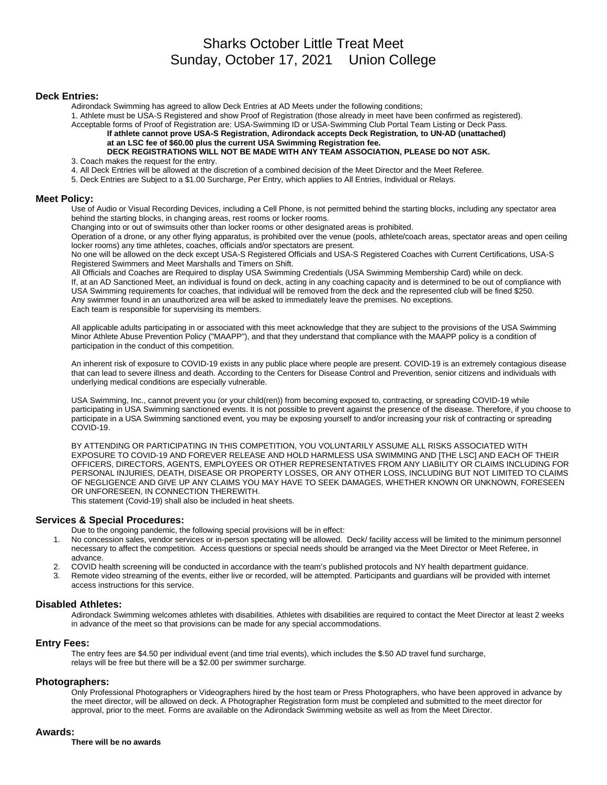#### **Deck Entries:**

Adirondack Swimming has agreed to allow Deck Entries at AD Meets under the following conditions;

1. Athlete must be USA-S Registered and show Proof of Registration (those already in meet have been confirmed as registered).

Acceptable forms of Proof of Registration are: USA-Swimming ID or USA-Swimming Club Portal Team Listing or Deck Pass.

**If athlete cannot prove USA-S Registration, Adirondack accepts Deck Registration***,* **to UN-AD (unattached) at an LSC fee of \$60.00 plus the current USA Swimming Registration fee. DECK REGISTRATIONS WILL NOT BE MADE WITH ANY TEAM ASSOCIATION, PLEASE DO NOT ASK.**

3. Coach makes the request for the entry.

4. All Deck Entries will be allowed at the discretion of a combined decision of the Meet Director and the Meet Referee.

5. Deck Entries are Subject to a \$1.00 Surcharge, Per Entry, which applies to All Entries, Individual or Relays.

#### **Meet Policy:**

Use of Audio or Visual Recording Devices, including a Cell Phone, is not permitted behind the starting blocks, including any spectator area behind the starting blocks, in changing areas, rest rooms or locker rooms.

Changing into or out of swimsuits other than locker rooms or other designated areas is prohibited.

Operation of a drone, or any other flying apparatus, is prohibited over the venue (pools, athlete/coach areas, spectator areas and open ceiling locker rooms) any time athletes, coaches, officials and/or spectators are present.

No one will be allowed on the deck except USA-S Registered Officials and USA-S Registered Coaches with Current Certifications, USA-S Registered Swimmers and Meet Marshalls and Timers on Shift.

All Officials and Coaches are Required to display USA Swimming Credentials (USA Swimming Membership Card) while on deck. If, at an AD Sanctioned Meet, an individual is found on deck, acting in any coaching capacity and is determined to be out of compliance with USA Swimming requirements for coaches, that individual will be removed from the deck and the represented club will be fined \$250. Any swimmer found in an unauthorized area will be asked to immediately leave the premises. No exceptions. Each team is responsible for supervising its members.

All applicable adults participating in or associated with this meet acknowledge that they are subject to the provisions of the USA Swimming Minor Athlete Abuse Prevention Policy ("MAAPP"), and that they understand that compliance with the MAAPP policy is a condition of participation in the conduct of this competition.

An inherent risk of exposure to COVID-19 exists in any public place where people are present. COVID-19 is an extremely contagious disease that can lead to severe illness and death. According to the Centers for Disease Control and Prevention, senior citizens and individuals with underlying medical conditions are especially vulnerable.

USA Swimming, Inc., cannot prevent you (or your child(ren)) from becoming exposed to, contracting, or spreading COVID-19 while participating in USA Swimming sanctioned events. It is not possible to prevent against the presence of the disease. Therefore, if you choose to participate in a USA Swimming sanctioned event, you may be exposing yourself to and/or increasing your risk of contracting or spreading COVID-19.

BY ATTENDING OR PARTICIPATING IN THIS COMPETITION, YOU VOLUNTARILY ASSUME ALL RISKS ASSOCIATED WITH EXPOSURE TO COVID-19 AND FOREVER RELEASE AND HOLD HARMLESS USA SWIMMING AND [THE LSC] AND EACH OF THEIR OFFICERS, DIRECTORS, AGENTS, EMPLOYEES OR OTHER REPRESENTATIVES FROM ANY LIABILITY OR CLAIMS INCLUDING FOR PERSONAL INJURIES, DEATH, DISEASE OR PROPERTY LOSSES, OR ANY OTHER LOSS, INCLUDING BUT NOT LIMITED TO CLAIMS OF NEGLIGENCE AND GIVE UP ANY CLAIMS YOU MAY HAVE TO SEEK DAMAGES, WHETHER KNOWN OR UNKNOWN, FORESEEN OR UNFORESEEN, IN CONNECTION THEREWITH.

This statement (Covid-19) shall also be included in heat sheets.

#### **Services & Special Procedures:**

Due to the ongoing pandemic, the following special provisions will be in effect:

- 1. No concession sales, vendor services or in-person spectating will be allowed. Deck/ facility access will be limited to the minimum personnel necessary to affect the competition. Access questions or special needs should be arranged via the Meet Director or Meet Referee, in advance.
- 2. COVID health screening will be conducted in accordance with the team's published protocols and NY health department guidance.
- 3. Remote video streaming of the events, either live or recorded, will be attempted. Participants and guardians will be provided with internet access instructions for this service.

#### **Disabled Athletes:**

Adirondack Swimming welcomes athletes with disabilities. Athletes with disabilities are required to contact the Meet Director at least 2 weeks in advance of the meet so that provisions can be made for any special accommodations.

#### **Entry Fees:**

The entry fees are \$4.50 per individual event (and time trial events), which includes the \$.50 AD travel fund surcharge, relays will be free but there will be a \$2.00 per swimmer surcharge.

#### **Photographers:**

Only Professional Photographers or Videographers hired by the host team or Press Photographers, who have been approved in advance by the meet director, will be allowed on deck. A Photographer Registration form must be completed and submitted to the meet director for approval, prior to the meet. Forms are available on the Adirondack Swimming website as well as from the Meet Director.

#### **Awards:**

**There will be no awards**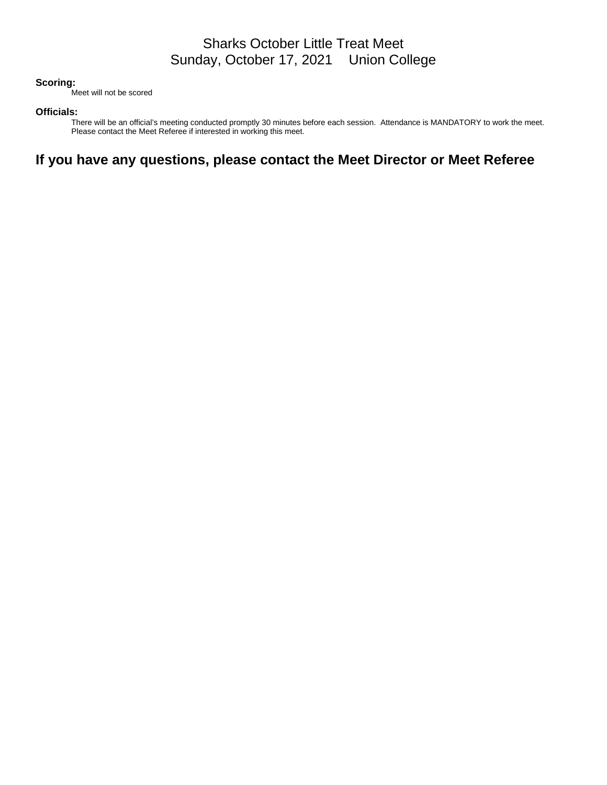#### **Scoring:**

Meet will not be scored

#### **Officials:**

There will be an official's meeting conducted promptly 30 minutes before each session. Attendance is MANDATORY to work the meet. Please contact the Meet Referee if interested in working this meet.

# **If you have any questions, please contact the Meet Director or Meet Referee**